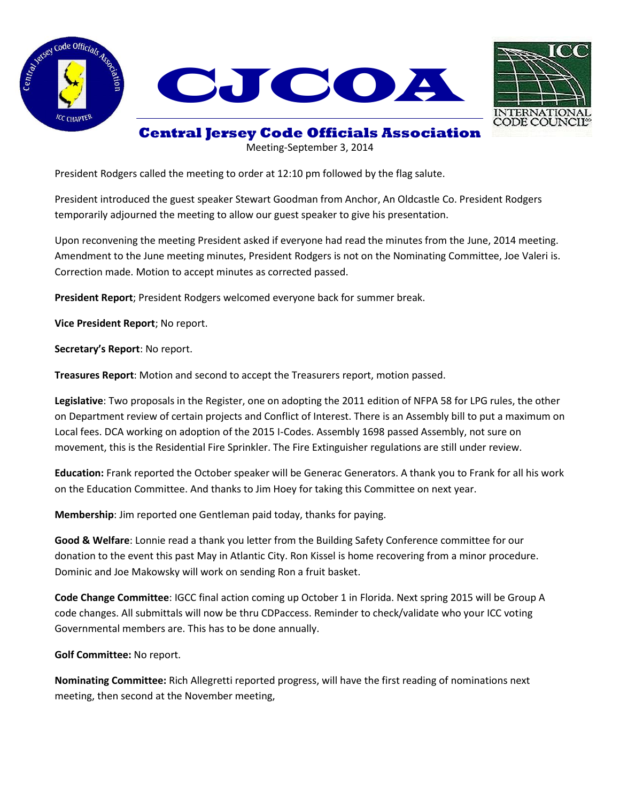





## **Central Jersey Code Officials Association**

Meeting-September 3, 2014

President Rodgers called the meeting to order at 12:10 pm followed by the flag salute.

President introduced the guest speaker Stewart Goodman from Anchor, An Oldcastle Co. President Rodgers temporarily adjourned the meeting to allow our guest speaker to give his presentation.

Upon reconvening the meeting President asked if everyone had read the minutes from the June, 2014 meeting. Amendment to the June meeting minutes, President Rodgers is not on the Nominating Committee, Joe Valeri is. Correction made. Motion to accept minutes as corrected passed.

**President Report**; President Rodgers welcomed everyone back for summer break.

**Vice President Report**; No report.

**Secretary's Report**: No report.

**Treasures Report**: Motion and second to accept the Treasurers report, motion passed.

**Legislative**: Two proposals in the Register, one on adopting the 2011 edition of NFPA 58 for LPG rules, the other on Department review of certain projects and Conflict of Interest. There is an Assembly bill to put a maximum on Local fees. DCA working on adoption of the 2015 I-Codes. Assembly 1698 passed Assembly, not sure on movement, this is the Residential Fire Sprinkler. The Fire Extinguisher regulations are still under review.

**Education:** Frank reported the October speaker will be Generac Generators. A thank you to Frank for all his work on the Education Committee. And thanks to Jim Hoey for taking this Committee on next year.

**Membership**: Jim reported one Gentleman paid today, thanks for paying.

**Good & Welfare**: Lonnie read a thank you letter from the Building Safety Conference committee for our donation to the event this past May in Atlantic City. Ron Kissel is home recovering from a minor procedure. Dominic and Joe Makowsky will work on sending Ron a fruit basket.

**Code Change Committee**: IGCC final action coming up October 1 in Florida. Next spring 2015 will be Group A code changes. All submittals will now be thru CDPaccess. Reminder to check/validate who your ICC voting Governmental members are. This has to be done annually.

**Golf Committee:** No report.

**Nominating Committee:** Rich Allegretti reported progress, will have the first reading of nominations next meeting, then second at the November meeting,